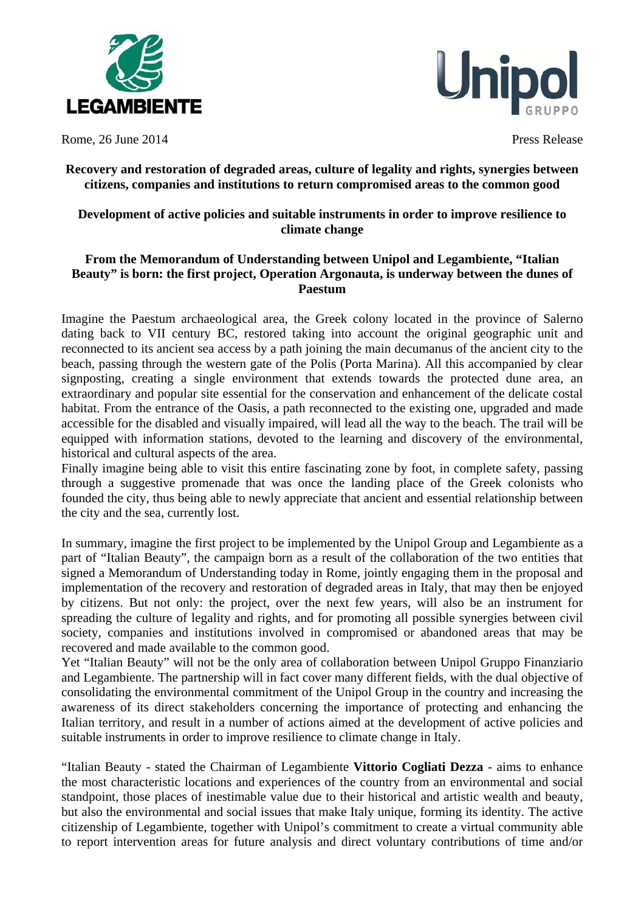



Rome, 26 June 2014 **Press Release** 

## **Recovery and restoration of degraded areas, culture of legality and rights, synergies between citizens, companies and institutions to return compromised areas to the common good**

## **Development of active policies and suitable instruments in order to improve resilience to climate change**

## **From the Memorandum of Understanding between Unipol and Legambiente, "Italian Beauty" is born: the first project, Operation Argonauta, is underway between the dunes of Paestum**

Imagine the Paestum archaeological area, the Greek colony located in the province of Salerno dating back to VII century BC, restored taking into account the original geographic unit and reconnected to its ancient sea access by a path joining the main decumanus of the ancient city to the beach, passing through the western gate of the Polis (Porta Marina). All this accompanied by clear signposting, creating a single environment that extends towards the protected dune area, an extraordinary and popular site essential for the conservation and enhancement of the delicate costal habitat. From the entrance of the Oasis, a path reconnected to the existing one, upgraded and made accessible for the disabled and visually impaired, will lead all the way to the beach. The trail will be equipped with information stations, devoted to the learning and discovery of the environmental, historical and cultural aspects of the area.

Finally imagine being able to visit this entire fascinating zone by foot, in complete safety, passing through a suggestive promenade that was once the landing place of the Greek colonists who founded the city, thus being able to newly appreciate that ancient and essential relationship between the city and the sea, currently lost.

In summary, imagine the first project to be implemented by the Unipol Group and Legambiente as a part of "Italian Beauty", the campaign born as a result of the collaboration of the two entities that signed a Memorandum of Understanding today in Rome, jointly engaging them in the proposal and implementation of the recovery and restoration of degraded areas in Italy, that may then be enjoyed by citizens. But not only: the project, over the next few years, will also be an instrument for spreading the culture of legality and rights, and for promoting all possible synergies between civil society, companies and institutions involved in compromised or abandoned areas that may be recovered and made available to the common good.

Yet "Italian Beauty" will not be the only area of collaboration between Unipol Gruppo Finanziario and Legambiente. The partnership will in fact cover many different fields, with the dual objective of consolidating the environmental commitment of the Unipol Group in the country and increasing the awareness of its direct stakeholders concerning the importance of protecting and enhancing the Italian territory, and result in a number of actions aimed at the development of active policies and suitable instruments in order to improve resilience to climate change in Italy.

"Italian Beauty - stated the Chairman of Legambiente **Vittorio Cogliati Dezza** - aims to enhance the most characteristic locations and experiences of the country from an environmental and social standpoint, those places of inestimable value due to their historical and artistic wealth and beauty, but also the environmental and social issues that make Italy unique, forming its identity. The active citizenship of Legambiente, together with Unipol's commitment to create a virtual community able to report intervention areas for future analysis and direct voluntary contributions of time and/or